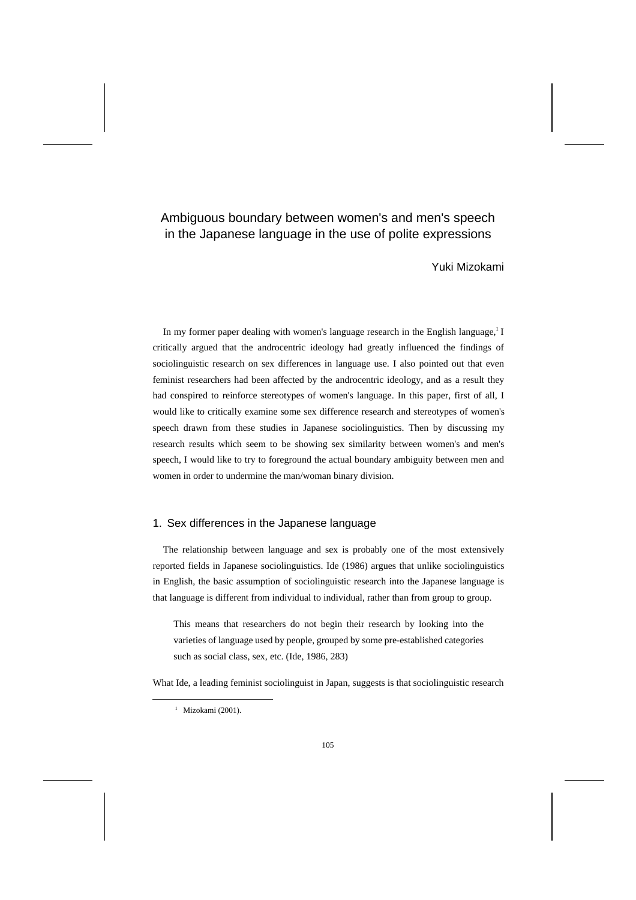# Ambiguous boundary between women's and men's speech in the Japanese language in the use of polite expressions

Yuki Mizokami

In my former paper dealing with women's language research in the English language,<sup>1</sup> I critically argued that the androcentric ideology had greatly influenced the findings of sociolinguistic research on sex differences in language use. I also pointed out that even feminist researchers had been affected by the androcentric ideology, and as a result they had conspired to reinforce stereotypes of women's language. In this paper, first of all, I would like to critically examine some sex difference research and stereotypes of women's speech drawn from these studies in Japanese sociolinguistics. Then by discussing my research results which seem to be showing sex similarity between women's and men's speech, I would like to try to foreground the actual boundary ambiguity between men and women in order to undermine the man/woman binary division.

## 1. Sex differences in the Japanese language

The relationship between language and sex is probably one of the most extensively reported fields in Japanese sociolinguistics. Ide (1986) argues that unlike sociolinguistics in English, the basic assumption of sociolinguistic research into the Japanese language is that language is different from individual to individual, rather than from group to group.

This means that researchers do not begin their research by looking into the varieties of language used by people, grouped by some pre-established categories such as social class, sex, etc. (Ide, 1986, 283)

What Ide, a leading feminist sociolinguist in Japan, suggests is that sociolinguistic research

 $1$  Mizokami (2001).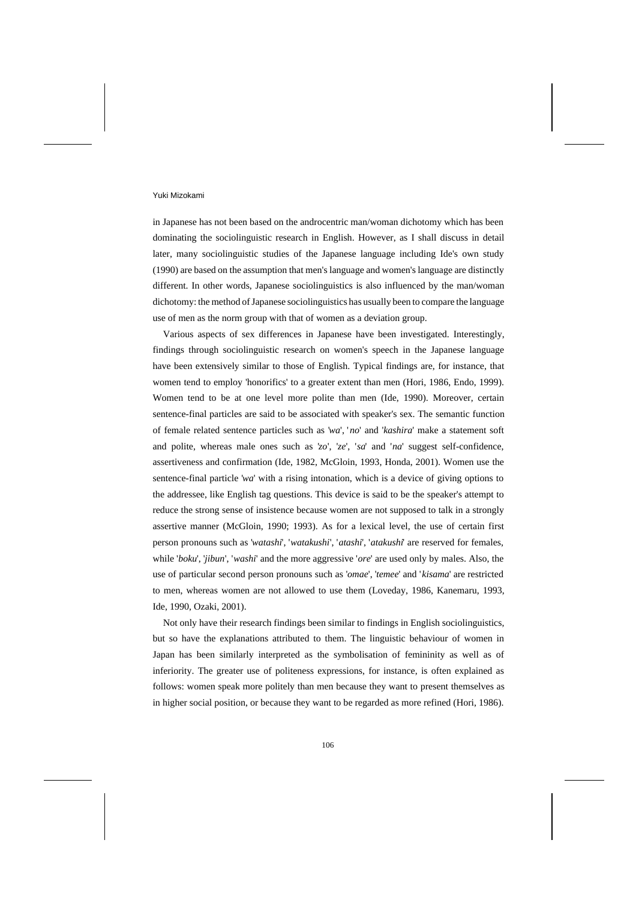in Japanese has not been based on the androcentric man/woman dichotomy which has been dominating the sociolinguistic research in English. However, as I shall discuss in detail later, many sociolinguistic studies of the Japanese language including Ide's own study (1990) are based on the assumption that men's language and women's language are distinctly different. In other words, Japanese sociolinguistics is also influenced by the man/woman dichotomy: the method of Japanese sociolinguistics has usually been to compare the language use of men as the norm group with that of women as a deviation group.

Various aspects of sex differences in Japanese have been investigated. Interestingly, findings through sociolinguistic research on women's speech in the Japanese language have been extensively similar to those of English. Typical findings are, for instance, that women tend to employ 'honorifics' to a greater extent than men (Hori, 1986, Endo, 1999). Women tend to be at one level more polite than men (Ide, 1990). Moreover, certain sentence-final particles are said to be associated with speaker's sex. The semantic function of female related sentence particles such as '*wa*', ' *no*' and '*kashira*' make a statement soft and polite, whereas male ones such as '*zo*', '*ze*', '*sa*' and '*na*' suggest self-confidence, assertiveness and confirmation (Ide, 1982, McGloin, 1993, Honda, 2001). Women use the sentence-final particle '*wa*' with a rising intonation, which is a device of giving options to the addressee, like English tag questions. This device is said to be the speaker's attempt to reduce the strong sense of insistence because women are not supposed to talk in a strongly assertive manner (McGloin, 1990; 1993). As for a lexical level, the use of certain first person pronouns such as '*watashi*', '*watakushi*', '*atashi*', '*atakushi*' are reserved for females, while '*boku*', '*jibun*', '*washi*' and the more aggressive '*ore*' are used only by males. Also, the use of particular second person pronouns such as '*omae*', '*temee*' and ' *kisama*' are restricted to men, whereas women are not allowed to use them (Loveday, 1986, Kanemaru, 1993, Ide, 1990, Ozaki, 2001).

Not only have their research findings been similar to findings in English sociolinguistics, but so have the explanations attributed to them. The linguistic behaviour of women in Japan has been similarly interpreted as the symbolisation of femininity as well as of inferiority. The greater use of politeness expressions, for instance, is often explained as follows: women speak more politely than men because they want to present themselves as in higher social position, or because they want to be regarded as more refined (Hori, 1986).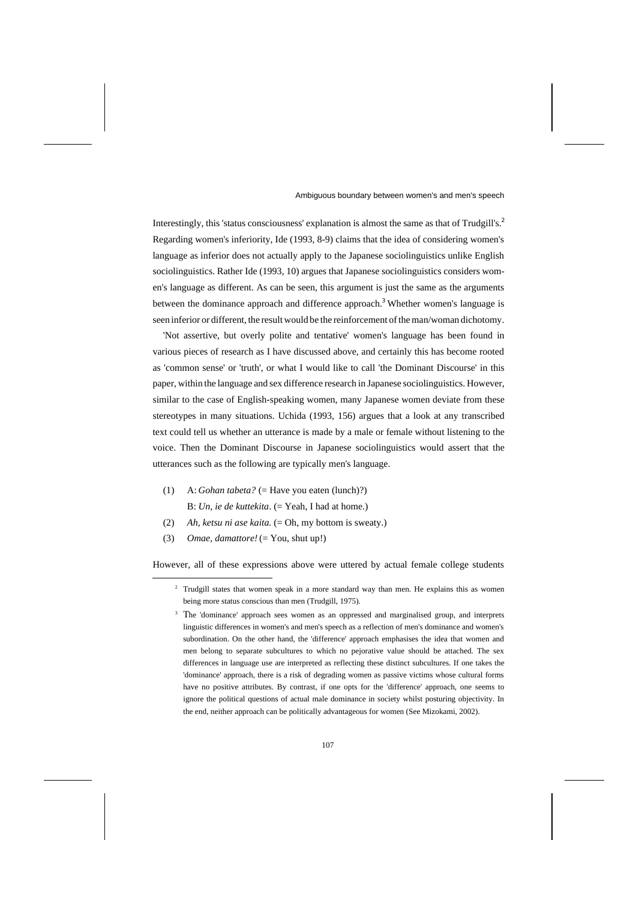Interestingly, this 'status consciousness' explanation is almost the same as that of Trudgill's.<sup>2</sup> Regarding women's inferiority, Ide (1993, 8-9) claims that the idea of considering women's language as inferior does not actually apply to the Japanese sociolinguistics unlike English sociolinguistics. Rather Ide (1993, 10) argues that Japanese sociolinguistics considers women's language as different. As can be seen, this argument is just the same as the arguments between the dominance approach and difference approach.<sup>3</sup> Whether women's language is seen inferior or different, the result would be the reinforcement of the man/woman dichotomy.

'Not assertive, but overly polite and tentative' women's language has been found in various pieces of research as I have discussed above, and certainly this has become rooted as 'common sense' or 'truth', or what I would like to call 'the Dominant Discourse' in this paper, within the language and sex difference research in Japanese sociolinguistics. However, similar to the case of English-speaking women, many Japanese women deviate from these stereotypes in many situations. Uchida (1993, 156) argues that a look at any transcribed text could tell us whether an utterance is made by a male or female without listening to the voice. Then the Dominant Discourse in Japanese sociolinguistics would assert that the utterances such as the following are typically men's language.

- (1) A: *Gohan tabeta?* (= Have you eaten (lunch)?) B: *Un, ie de kuttekita.* (= Yeah, I had at home.)
- (2) *Ah, ketsu ni ase kaita.* (= Oh, my bottom is sweaty.)
- (3) *Omae, damattore!* (= You, shut up!)

However, all of these expressions above were uttered by actual female college students

<sup>&</sup>lt;sup>2</sup> Trudgill states that women speak in a more standard way than men. He explains this as women being more status conscious than men (Trudgill, 1975).

<sup>&</sup>lt;sup>3</sup> The 'dominance' approach sees women as an oppressed and marginalised group, and interprets linguistic differences in women's and men's speech as a reflection of men's dominance and women's subordination. On the other hand, the 'difference' approach emphasises the idea that women and men belong to separate subcultures to which no pejorative value should be attached. The sex differences in language use are interpreted as reflecting these distinct subcultures. If one takes the 'dominance' approach, there is a risk of degrading women as passive victims whose cultural forms have no positive attributes. By contrast, if one opts for the 'difference' approach, one seems to ignore the political questions of actual male dominance in society whilst posturing objectivity. In the end, neither approach can be politically advantageous for women (See Mizokami, 2002).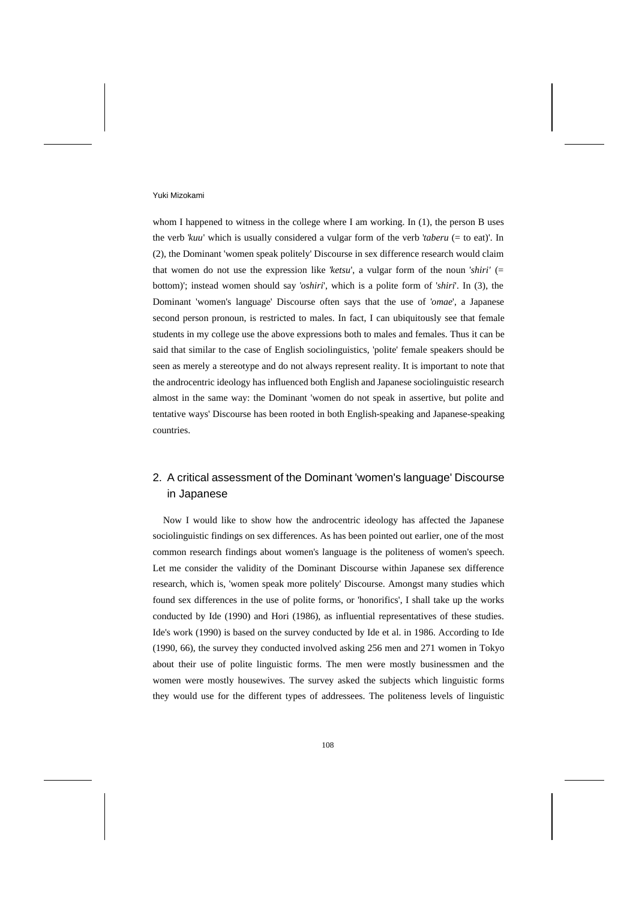whom I happened to witness in the college where I am working. In (1), the person B uses the verb '*kuu*' which is usually considered a vulgar form of the verb '*taberu* (= to eat)'. In (2), the Dominant 'women speak politely' Discourse in sex difference research would claim that women do not use the expression like '*ketsu*', a vulgar form of the noun '*shiri'* (= bottom)'; instead women should say '*oshiri*', which is a polite form of '*shiri*'. In (3), the Dominant 'women's language' Discourse often says that the use of '*omae*', a Japanese second person pronoun, is restricted to males. In fact, I can ubiquitously see that female students in my college use the above expressions both to males and females. Thus it can be said that similar to the case of English sociolinguistics, 'polite' female speakers should be seen as merely a stereotype and do not always represent reality. It is important to note that the androcentric ideology has influenced both English and Japanese sociolinguistic research almost in the same way: the Dominant 'women do not speak in assertive, but polite and tentative ways' Discourse has been rooted in both English-speaking and Japanese-speaking countries.

# 2. A critical assessment of the Dominant 'women's language' Discourse in Japanese

Now I would like to show how the androcentric ideology has affected the Japanese sociolinguistic findings on sex differences. As has been pointed out earlier, one of the most common research findings about women's language is the politeness of women's speech. Let me consider the validity of the Dominant Discourse within Japanese sex difference research, which is, 'women speak more politely' Discourse. Amongst many studies which found sex differences in the use of polite forms, or 'honorifics', I shall take up the works conducted by Ide (1990) and Hori (1986), as influential representatives of these studies. Ide's work (1990) is based on the survey conducted by Ide et al. in 1986. According to Ide (1990, 66), the survey they conducted involved asking 256 men and 271 women in Tokyo about their use of polite linguistic forms. The men were mostly businessmen and the women were mostly housewives. The survey asked the subjects which linguistic forms they would use for the different types of addressees. The politeness levels of linguistic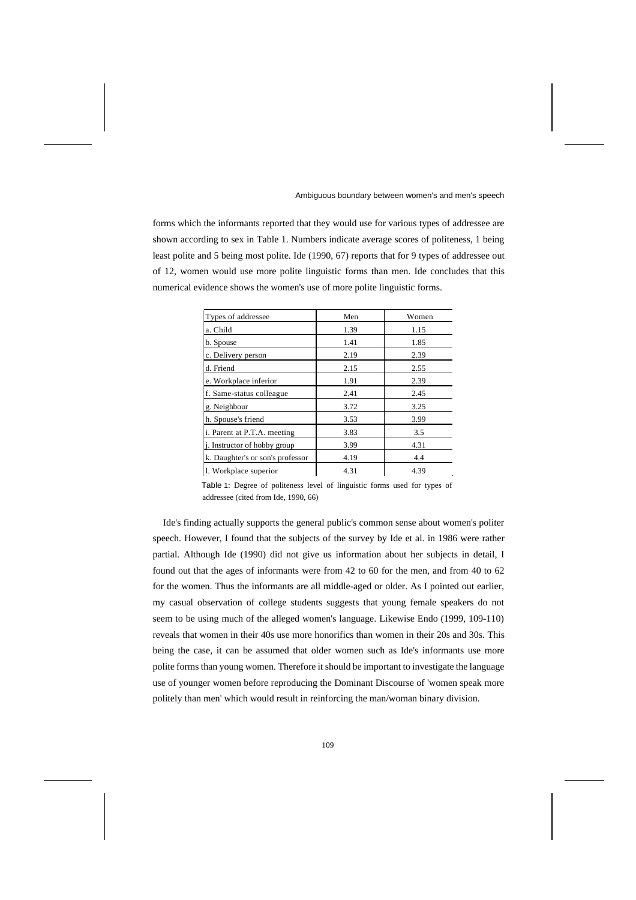forms which the informants reported that they would use for various types of addressee are shown according to sex in Table 1. Numbers indicate average scores of politeness, 1 being least polite and 5 being most polite. Ide (1990, 67) reports that for 9 types of addressee out of 12, women would use more polite linguistic forms than men. Ide concludes that this numerical evidence shows the women's use of more polite linguistic forms.

| Types of addressee                   | Men  | Women |
|--------------------------------------|------|-------|
| a. Child                             | 1.39 | 1.15  |
| b. Spouse                            | 1.41 | 1.85  |
| c. Delivery person                   | 2.19 | 2.39  |
| d. Friend                            | 2.15 | 2.55  |
| e. Workplace inferior                | 1.91 | 2.39  |
| f. Same-status colleague             | 2.41 | 2.45  |
| g. Neighbour                         | 3.72 | 3.25  |
| h. Spouse's friend                   | 3.53 | 3.99  |
| i. Parent at P.T.A. meeting          | 3.83 | 3.5   |
| <i>i</i> . Instructor of hobby group | 3.99 | 4.31  |
| k. Daughter's or son's professor     | 4.19 | 4.4   |
| 1. Workplace superior                | 4.31 | 4.39  |

Table 1: Degree of politeness level of linguistic forms used for types of addressee (cited from Ide, 1990, 66)

Ide's finding actually supports the general public's common sense about women's politer speech. However, I found that the subjects of the survey by Ide et al. in 1986 were rather partial. Although Ide (1990) did not give us information about her subjects in detail, I found out that the ages of informants were from 42 to 60 for the men, and from 40 to 62 for the women. Thus the informants are all middle-aged or older. As I pointed out earlier, my casual observation of college students suggests that young female speakers do not seem to be using much of the alleged women's language. Likewise Endo (1999, 109-110) reveals that women in their 40s use more honorifics than women in their 20s and 30s. This being the case, it can be assumed that older women such as Ide's informants use more polite forms than young women. Therefore it should be important to investigate the language use of younger women before reproducing the Dominant Discourse of 'women speak more politely than men' which would result in reinforcing the man/woman binary division.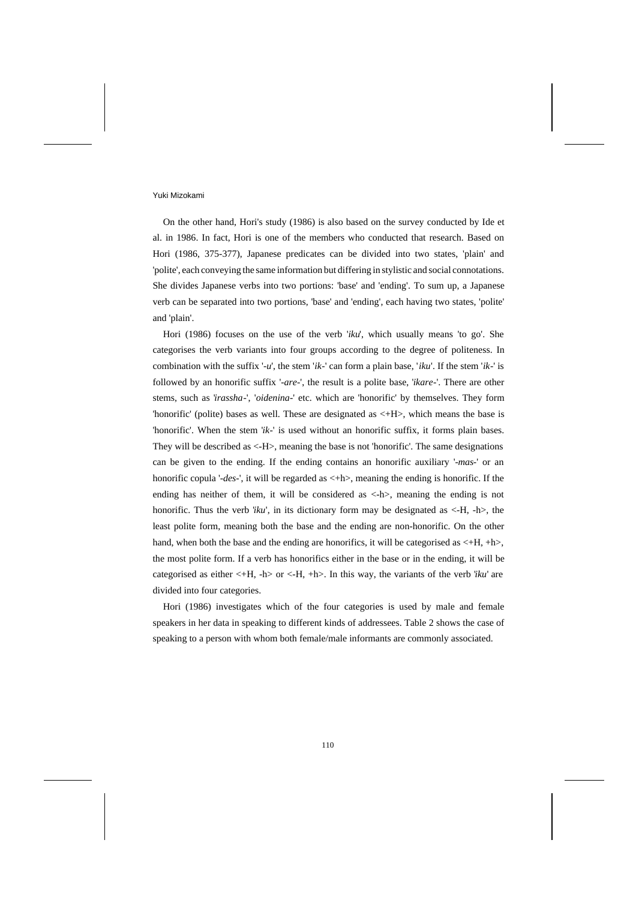On the other hand, Hori's study (1986) is also based on the survey conducted by Ide et al. in 1986. In fact, Hori is one of the members who conducted that research. Based on Hori (1986, 375-377), Japanese predicates can be divided into two states, 'plain' and 'polite', each conveying the same information but differing in stylistic and social connotations. She divides Japanese verbs into two portions: 'base' and 'ending'. To sum up, a Japanese verb can be separated into two portions, 'base' and 'ending', each having two states, 'polite' and 'plain'.

Hori (1986) focuses on the use of the verb '*iku*', which usually means 'to go'. She categorises the verb variants into four groups according to the degree of politeness. In combination with the suffix '-*u*', the stem '*ik*-' can form a plain base, '*iku*'. If the stem '*ik*-' is followed by an honorific suffix '-*are*-', the result is a polite base, '*ikare*-'. There are other stems, such as '*irassha*-', '*oidenina*-' etc. which are 'honorific' by themselves. They form 'honorific' (polite) bases as well. These are designated as <+H>, which means the base is 'honorific'. When the stem '*ik*-' is used without an honorific suffix, it forms plain bases. They will be described as <-H>, meaning the base is not 'honorific'. The same designations can be given to the ending. If the ending contains an honorific auxiliary '-*mas*-' or an honorific copula '-*des*-', it will be regarded as <+h>, meaning the ending is honorific. If the ending has neither of them, it will be considered as <-h>, meaning the ending is not honorific. Thus the verb '*iku*', in its dictionary form may be designated as  $\langle$ -H, -h $\rangle$ , the least polite form, meaning both the base and the ending are non-honorific. On the other hand, when both the base and the ending are honorifics, it will be categorised as  $\lt +H$ ,  $+h$ , the most polite form. If a verb has honorifics either in the base or in the ending, it will be categorised as either <+H, -h> or <-H, +h>. In this way, the variants of the verb '*iku*' are divided into four categories.

Hori (1986) investigates which of the four categories is used by male and female speakers in her data in speaking to different kinds of addressees. Table 2 shows the case of speaking to a person with whom both female/male informants are commonly associated.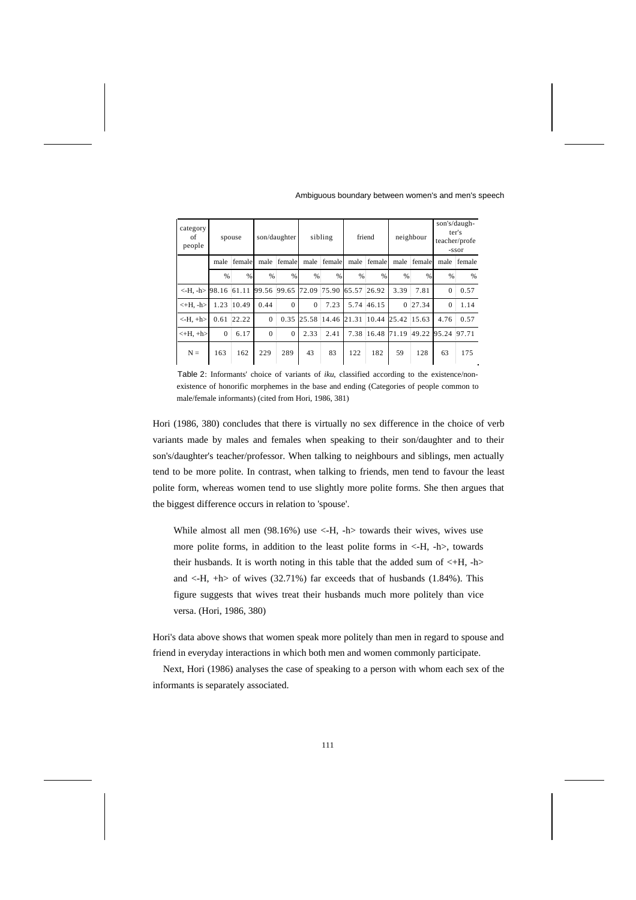| category<br>of<br>people               |               | spouse |             | son/daughter |               | sibling       |       | friend        |          | neighbour       |               | son's/daugh-<br>ter's<br>teacher/profe<br>-ssor |
|----------------------------------------|---------------|--------|-------------|--------------|---------------|---------------|-------|---------------|----------|-----------------|---------------|-------------------------------------------------|
|                                        | male          | female | male        | female       | male          | female        | male  | female        | male     | female          | male          | female                                          |
|                                        | $\frac{9}{6}$ | $\%$   | %           | $\%$         | $\frac{9}{6}$ | $\frac{9}{6}$ | %     | $\frac{9}{6}$ | %        | $\frac{9}{6}$   | $\frac{0}{0}$ | %                                               |
| $\left\langle -H_{-} -h \right\rangle$ | 98.16 61.11   |        | 99.56 99.65 |              | 72.09         | 175.90        | 65.57 | 126.92        | 3.39     | 7.81            | $\Omega$      | 0.57                                            |
| $\leftarrow$ H. -h>                    | 1.23          | 10.49  | 0.44        | $\Omega$     | $\Omega$      | 7.23          | 5.74  | 46.15         | $\Omega$ | 27.34           | $\Omega$      | 1.14                                            |
| $-H, +h$                               | 0.61          | 22.22  | $\Omega$    | 0.35         | 25.58         | 14.46         | 21.31 | 10.44         | 25.42    | 15.63           | 4.76          | 0.57                                            |
| $\leftarrow$ H, $+h$                   | $\mathbf{0}$  | 6.17   | $\Omega$    | $\Omega$     | 2.33          | 2.41          | 7.38  | 16.48         | 71.19    | $ 49.22\rangle$ | 95.24         | 97.71                                           |
| $N =$                                  | 163           | 162    | 229         | 289          | 43            | 83            | 122   | 182           | 59       | 128             | 63            | 175                                             |

Table 2: Informants' choice of variants of *iku*, classified according to the existence/nonexistence of honorific morphemes in the base and ending (Categories of people common to male/female informants) (cited from Hori, 1986, 381)

Hori (1986, 380) concludes that there is virtually no sex difference in the choice of verb variants made by males and females when speaking to their son/daughter and to their son's/daughter's teacher/professor. When talking to neighbours and siblings, men actually tend to be more polite. In contrast, when talking to friends, men tend to favour the least polite form, whereas women tend to use slightly more polite forms. She then argues that the biggest difference occurs in relation to 'spouse'.

While almost all men  $(98.16%)$  use <-H, -h towards their wives, wives use more polite forms, in addition to the least polite forms in <-H, -h>, towards their husbands. It is worth noting in this table that the added sum of  $\lt H$ ,  $-h$ and  $\langle$ -H, +h  $\rangle$  of wives (32.71%) far exceeds that of husbands (1.84%). This figure suggests that wives treat their husbands much more politely than vice versa. (Hori, 1986, 380)

Hori's data above shows that women speak more politely than men in regard to spouse and friend in everyday interactions in which both men and women commonly participate.

Next, Hori (1986) analyses the case of speaking to a person with whom each sex of the informants is separately associated.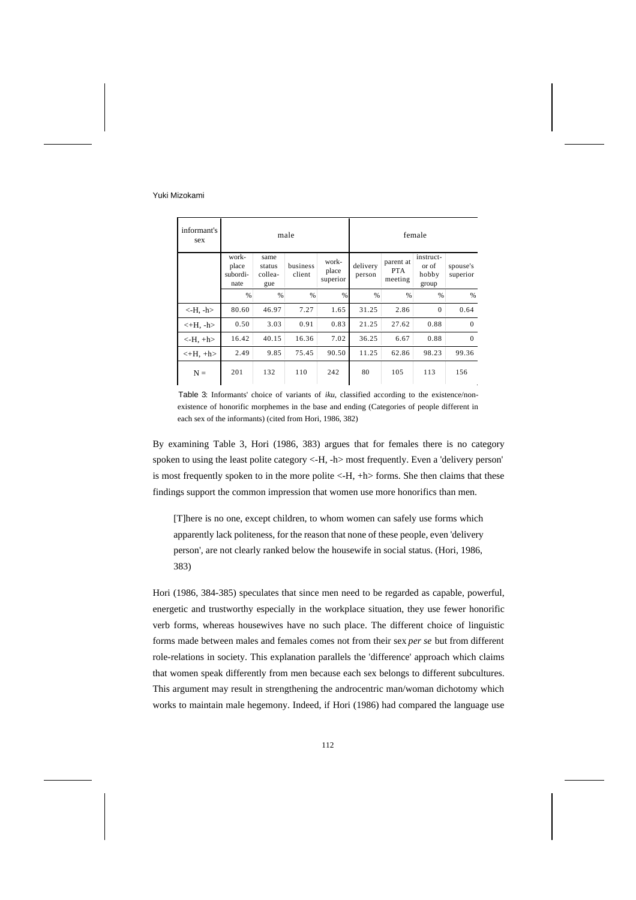| informant's<br>sex                  |                                    |                                  | male               |                            |                    | female                             |                                      |                      |  |
|-------------------------------------|------------------------------------|----------------------------------|--------------------|----------------------------|--------------------|------------------------------------|--------------------------------------|----------------------|--|
|                                     | work-<br>place<br>subordi-<br>nate | same<br>status<br>collea-<br>gue | business<br>client | work-<br>place<br>superior | delivery<br>person | parent at<br><b>PTA</b><br>meeting | instruct-<br>or of<br>hobby<br>group | spouse's<br>superior |  |
|                                     | %                                  | %                                | %                  | %                          | %                  | %                                  | %                                    | %                    |  |
| $-H, -h$                            | 80.60                              | 46.97                            | 7.27               | 1.65                       | 31.25              | 2.86                               | $\Omega$                             | 0.64                 |  |
| $\left\langle +H, -h \right\rangle$ | 0.50                               | 3.03                             | 0.91               | 0.83                       | 21.25              | 27.62                              | 0.88                                 | $\Omega$             |  |
| $-H, +h$                            | 16.42                              | 40.15                            | 16.36              | 7.02                       | 36.25              | 6.67                               | 0.88                                 | $\Omega$             |  |
| $\left\langle +H, +h \right\rangle$ | 2.49                               | 9.85                             | 75.45              | 90.50                      | 11.25              | 62.86                              | 98.23                                | 99.36                |  |
| $N =$                               | 201                                | 132                              | 110                | 242                        | 80                 | 105                                | 113                                  | 156                  |  |

Table 3: Informants' choice of variants of *iku*, classified according to the existence/nonexistence of honorific morphemes in the base and ending (Categories of people different in each sex of the informants) (cited from Hori, 1986, 382)

By examining Table 3, Hori (1986, 383) argues that for females there is no category spoken to using the least polite category <-H, -h> most frequently. Even a 'delivery person' is most frequently spoken to in the more polite <-H, +h> forms. She then claims that these findings support the common impression that women use more honorifics than men.

[T]here is no one, except children, to whom women can safely use forms which apparently lack politeness, for the reason that none of these people, even 'delivery person', are not clearly ranked below the housewife in social status. (Hori, 1986, 383)

Hori (1986, 384-385) speculates that since men need to be regarded as capable, powerful, energetic and trustworthy especially in the workplace situation, they use fewer honorific verb forms, whereas housewives have no such place. The different choice of linguistic forms made between males and females comes not from their sex *per se* but from different role-relations in society. This explanation parallels the 'difference' approach which claims that women speak differently from men because each sex belongs to different subcultures. This argument may result in strengthening the androcentric man/woman dichotomy which works to maintain male hegemony. Indeed, if Hori (1986) had compared the language use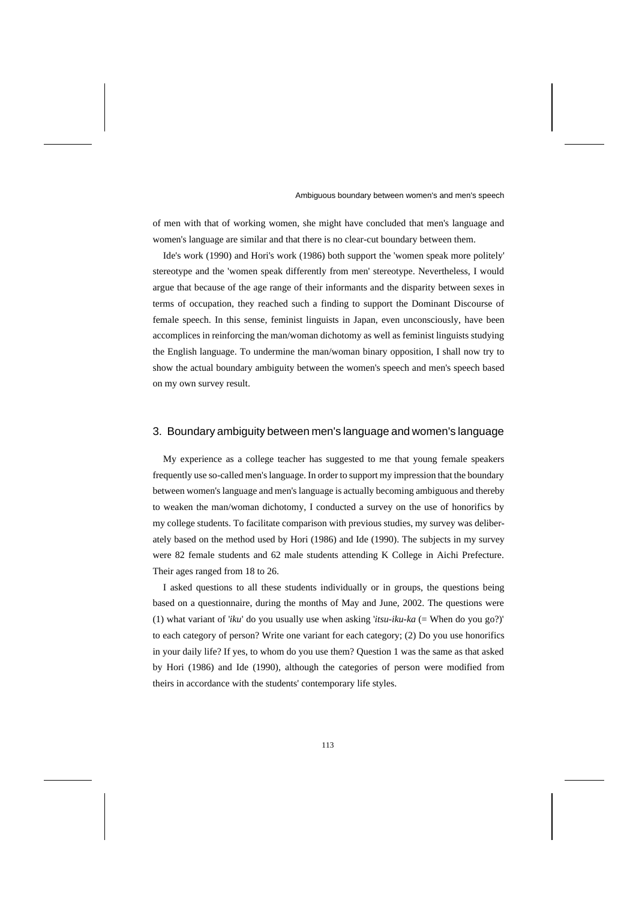of men with that of working women, she might have concluded that men's language and women's language are similar and that there is no clear-cut boundary between them.

Ide's work (1990) and Hori's work (1986) both support the 'women speak more politely' stereotype and the 'women speak differently from men' stereotype. Nevertheless, I would argue that because of the age range of their informants and the disparity between sexes in terms of occupation, they reached such a finding to support the Dominant Discourse of female speech. In this sense, feminist linguists in Japan, even unconsciously, have been accomplices in reinforcing the man/woman dichotomy as well as feminist linguists studying the English language. To undermine the man/woman binary opposition, I shall now try to show the actual boundary ambiguity between the women's speech and men's speech based on my own survey result.

### 3. Boundary ambiguity between men's language and women's language

My experience as a college teacher has suggested to me that young female speakers frequently use so-called men's language. In order to support my impression that the boundary between women's language and men's language is actually becoming ambiguous and thereby to weaken the man/woman dichotomy, I conducted a survey on the use of honorifics by my college students. To facilitate comparison with previous studies, my survey was deliberately based on the method used by Hori (1986) and Ide (1990). The subjects in my survey were 82 female students and 62 male students attending K College in Aichi Prefecture. Their ages ranged from 18 to 26.

I asked questions to all these students individually or in groups, the questions being based on a questionnaire, during the months of May and June, 2002. The questions were (1) what variant of '*iku*' do you usually use when asking '*itsu-iku-ka* (= When do you go?)' to each category of person? Write one variant for each category; (2) Do you use honorifics in your daily life? If yes, to whom do you use them? Question 1 was the same as that asked by Hori (1986) and Ide (1990), although the categories of person were modified from theirs in accordance with the students' contemporary life styles.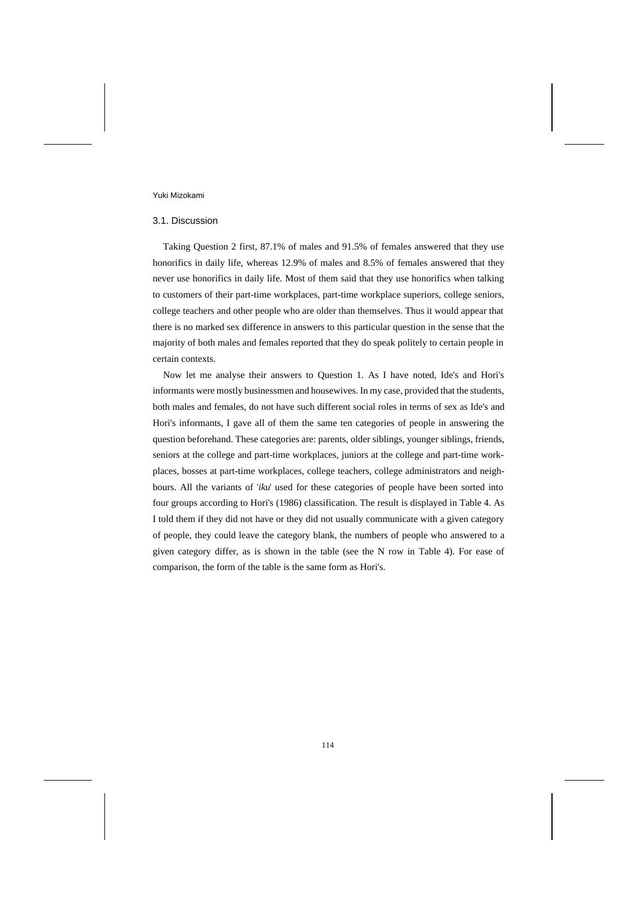#### 3.1. Discussion

Taking Question 2 first, 87.1% of males and 91.5% of females answered that they use honorifics in daily life, whereas 12.9% of males and 8.5% of females answered that they never use honorifics in daily life. Most of them said that they use honorifics when talking to customers of their part-time workplaces, part-time workplace superiors, college seniors, college teachers and other people who are older than themselves. Thus it would appear that there is no marked sex difference in answers to this particular question in the sense that the majority of both males and females reported that they do speak politely to certain people in certain contexts.

Now let me analyse their answers to Question 1. As I have noted, Ide's and Hori's informants were mostly businessmen and housewives. In my case, provided that the students, both males and females, do not have such different social roles in terms of sex as Ide's and Hori's informants, I gave all of them the same ten categories of people in answering the question beforehand. These categories are: parents, older siblings, younger siblings, friends, seniors at the college and part-time workplaces, juniors at the college and part-time workplaces, bosses at part-time workplaces, college teachers, college administrators and neighbours. All the variants of '*iku*' used for these categories of people have been sorted into four groups according to Hori's (1986) classification. The result is displayed in Table 4. As I told them if they did not have or they did not usually communicate with a given category of people, they could leave the category blank, the numbers of people who answered to a given category differ, as is shown in the table (see the N row in Table 4). For ease of comparison, the form of the table is the same form as Hori's.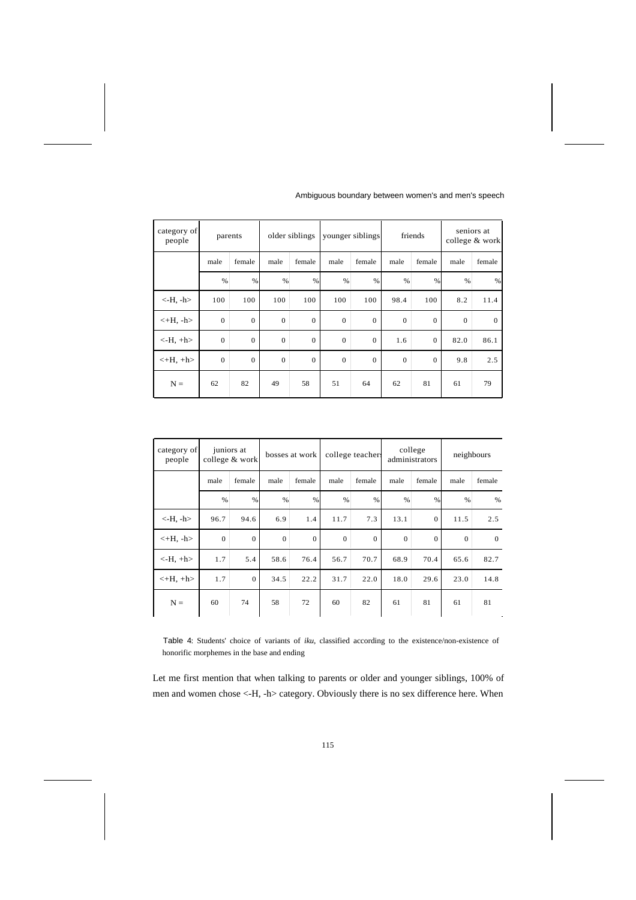| category of<br>people |              | parents        |               | older siblings |                | younger siblings |              | friends        |               | seniors at<br>college & work |
|-----------------------|--------------|----------------|---------------|----------------|----------------|------------------|--------------|----------------|---------------|------------------------------|
|                       | male         | female         | male          | female         | male           | female           | male         | female         | male          | female                       |
|                       | %            | %              | $\frac{0}{6}$ | %              | %              | $\%$             | %            | $\%$           | $\frac{0}{6}$ | $\%$                         |
| $\langle$ -H, -h $>$  | 100          | 100            | 100           | 100            | 100            | 100              | 98.4         | 100            | 8.2           | 11.4                         |
| $\lt$ +H, -h>         | $\Omega$     | $\Omega$       | $\mathbf{0}$  | $\overline{0}$ | $\Omega$       | $\Omega$         | $\mathbf{0}$ | $\overline{0}$ | $\mathbf{0}$  | $\theta$                     |
| $\langle$ -H, +h $>$  | $\Omega$     | $\overline{0}$ | $\mathbf{0}$  | $\overline{0}$ | $\Omega$       | $\mathbf{0}$     | 1.6          | $\theta$       | 82.0          | 86.1                         |
| $<$ +H, +h>           | $\mathbf{0}$ | $\overline{0}$ | $\mathbf{0}$  | $\mathbf{0}$   | $\overline{0}$ | $\mathbf{0}$     | $\theta$     | $\theta$       | 9.8           | 2.5                          |
| $N =$                 | 62           | 82             | 49            | 58             | 51             | 64               | 62           | 81             | 61            | 79                           |

| category of<br>people |          | juniors at<br>college & work |          | bosses at work |          | college teacher. |              | college<br>administrators |          | neighbours    |
|-----------------------|----------|------------------------------|----------|----------------|----------|------------------|--------------|---------------------------|----------|---------------|
|                       | male     | female                       | male     | female         | male     | female           | male         | female                    | male     | female        |
|                       | %        | $\%$                         | $\%$     | %              | %        | $\%$             | %            | $\%$                      | %        | $\frac{0}{0}$ |
| $\langle$ -H, -h $>$  | 96.7     | 94.6                         | 6.9      | 1.4            | 11.7     | 7.3              | 13.1         | $\mathbf{0}$              | 11.5     | 2.5           |
| $\lt$ +H, -h>         | $\Omega$ | $\mathbf{0}$                 | $\theta$ | $\theta$       | $\Omega$ | $\mathbf{0}$     | $\mathbf{0}$ | $\theta$                  | $\Omega$ | $\theta$      |
| $-H, +h$              | 1.7      | 5.4                          | 58.6     | 76.4           | 56.7     | 70.7             | 68.9         | 70.4                      | 65.6     | 82.7          |
| $\lt$ +H, +h $>$      | 1.7      | $\mathbf{0}$                 | 34.5     | 22.2           | 31.7     | 22.0             | 18.0         | 29.6                      | 23.0     | 14.8          |
| $N =$                 | 60       | 74                           | 58       | 72             | 60       | 82               | 61           | 81                        | 61       | 81            |

Table 4: Students' choice of variants of *iku*, classified according to the existence/non-existence of honorific morphemes in the base and ending

Let me first mention that when talking to parents or older and younger siblings, 100% of men and women chose <-H, -h> category. Obviously there is no sex difference here. When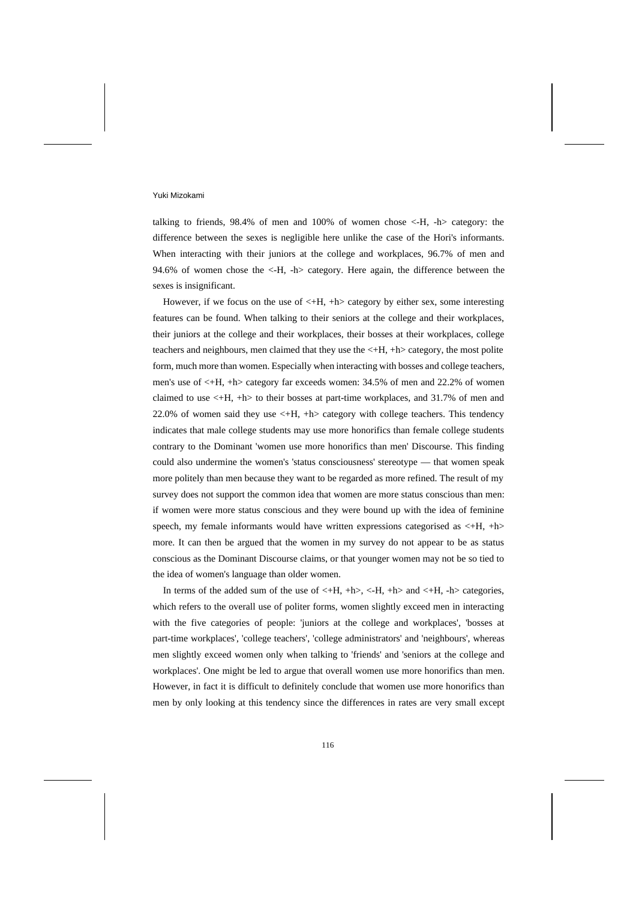talking to friends, 98.4% of men and 100% of women chose <-H, -h> category: the difference between the sexes is negligible here unlike the case of the Hori's informants. When interacting with their juniors at the college and workplaces, 96.7% of men and 94.6% of women chose the <-H, -h> category. Here again, the difference between the sexes is insignificant.

However, if we focus on the use of  $\lt +H$ ,  $+h$  category by either sex, some interesting features can be found. When talking to their seniors at the college and their workplaces, their juniors at the college and their workplaces, their bosses at their workplaces, college teachers and neighbours, men claimed that they use the <+H, +h> category, the most polite form, much more than women. Especially when interacting with bosses and college teachers, men's use of <+H, +h> category far exceeds women: 34.5% of men and 22.2% of women claimed to use <+H, +h> to their bosses at part-time workplaces, and 31.7% of men and 22.0% of women said they use  $\lt H$ ,  $+h$  category with college teachers. This tendency indicates that male college students may use more honorifics than female college students contrary to the Dominant 'women use more honorifics than men' Discourse. This finding could also undermine the women's 'status consciousness' stereotype — that women speak more politely than men because they want to be regarded as more refined. The result of my survey does not support the common idea that women are more status conscious than men: if women were more status conscious and they were bound up with the idea of feminine speech, my female informants would have written expressions categorised as  $\lt H$ ,  $\pm h$ more. It can then be argued that the women in my survey do not appear to be as status conscious as the Dominant Discourse claims, or that younger women may not be so tied to the idea of women's language than older women.

In terms of the added sum of the use of  $\lt H$ ,  $+h$ ,  $\lt H$ ,  $+h$  and  $\lt H$ ,  $-h$  categories, which refers to the overall use of politer forms, women slightly exceed men in interacting with the five categories of people: 'juniors at the college and workplaces', 'bosses at part-time workplaces', 'college teachers', 'college administrators' and 'neighbours', whereas men slightly exceed women only when talking to 'friends' and 'seniors at the college and workplaces'. One might be led to argue that overall women use more honorifics than men. However, in fact it is difficult to definitely conclude that women use more honorifics than men by only looking at this tendency since the differences in rates are very small except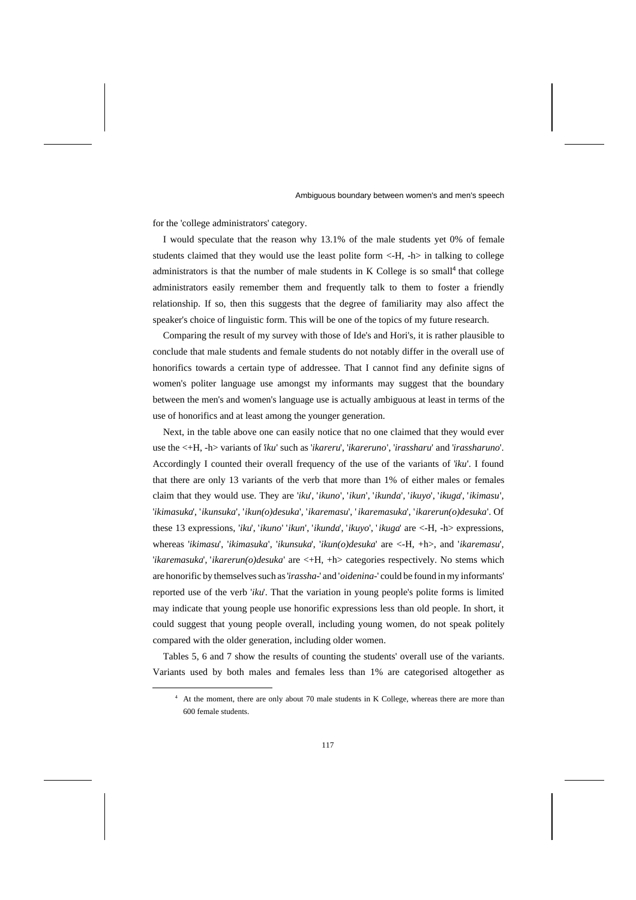for the 'college administrators' category.

I would speculate that the reason why 13.1% of the male students yet 0% of female students claimed that they would use the least polite form <-H, -h> in talking to college administrators is that the number of male students in K College is so small<sup>4</sup> that college administrators easily remember them and frequently talk to them to foster a friendly relationship. If so, then this suggests that the degree of familiarity may also affect the speaker's choice of linguistic form. This will be one of the topics of my future research.

Comparing the result of my survey with those of Ide's and Hori's, it is rather plausible to conclude that male students and female students do not notably differ in the overall use of honorifics towards a certain type of addressee. That I cannot find any definite signs of women's politer language use amongst my informants may suggest that the boundary between the men's and women's language use is actually ambiguous at least in terms of the use of honorifics and at least among the younger generation.

Next, in the table above one can easily notice that no one claimed that they would ever use the <+H, -h> variants of '*iku*' such as '*ikareru*', '*ikareruno*', '*irassharu*' and '*irassharuno*'. Accordingly I counted their overall frequency of the use of the variants of '*iku*'. I found that there are only 13 variants of the verb that more than 1% of either males or females claim that they would use. They are '*iku*', '*ikuno*', '*ikun*', '*ikunda*', '*ikuyo*', '*ikuga*', '*ikimasu*', '*ikimasuka*', '*ikunsuka*', '*ikun(o)desuka*', '*ikaremasu*', ' *ikaremasuka*', '*ikarerun(o)desuka*'. Of these 13 expressions, '*iku*', '*ikuno*' '*ikun*', '*ikunda*', '*ikuyo*', ' *ikuga*' are <-H, -h> expressions, whereas '*ikimasu*', '*ikimasuka*', '*ikunsuka*', '*ikun(o)desuka*' are <-H, +h>, and '*ikaremasu*', '*ikaremasuka*', '*ikarerun(o)desuka*' are <+H, +h> categories respectively. No stems which are honorific by themselves such as '*irassha-*' and '*oidenina-*' could be found in my informants' reported use of the verb '*iku*'. That the variation in young people's polite forms is limited may indicate that young people use honorific expressions less than old people. In short, it could suggest that young people overall, including young women, do not speak politely compared with the older generation, including older women.

Tables 5, 6 and 7 show the results of counting the students' overall use of the variants. Variants used by both males and females less than 1% are categorised altogether as

<sup>4</sup> At the moment, there are only about 70 male students in K College, whereas there are more than 600 female students.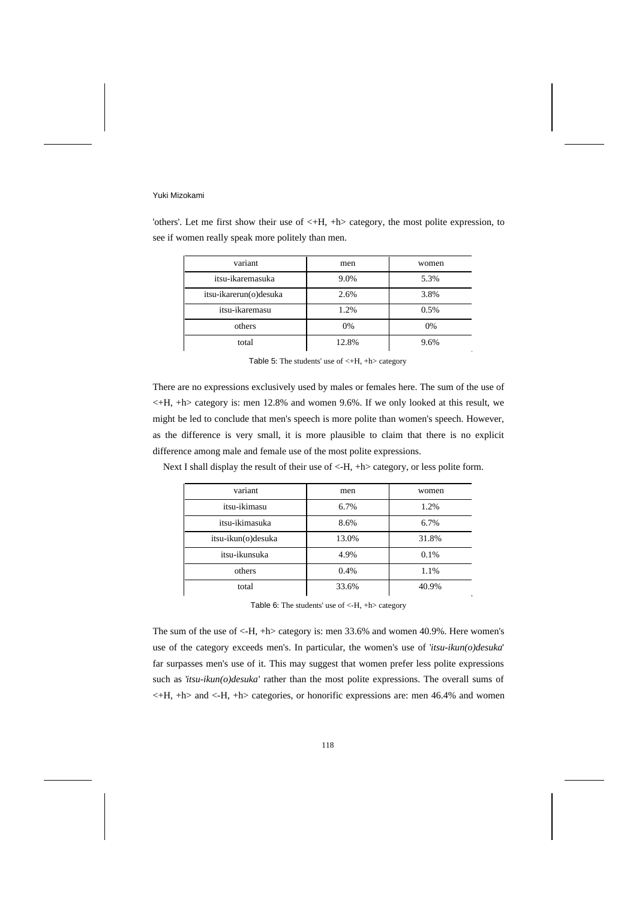'others'. Let me first show their use of <+H, +h> category, the most polite expression, to see if women really speak more politely than men.

| variant                | men   | women |
|------------------------|-------|-------|
| itsu-ikaremasuka       | 9.0%  | 5.3%  |
| itsu-ikarerun(o)desuka | 2.6%  | 3.8%  |
| itsu-ikaremasu         | 1.2%  | 0.5%  |
| others                 | 0%    | 0%    |
| total                  | 12.8% | 9.6%  |

Table 5: The students' use of  $\lt$ +H, +h > category

There are no expressions exclusively used by males or females here. The sum of the use of <+H, +h> category is: men 12.8% and women 9.6%. If we only looked at this result, we might be led to conclude that men's speech is more polite than women's speech. However, as the difference is very small, it is more plausible to claim that there is no explicit difference among male and female use of the most polite expressions.

| variant            | men   | women |
|--------------------|-------|-------|
| itsu-ikimasu       | 6.7%  | 1.2%  |
| itsu-ikimasuka     | 8.6%  | 6.7%  |
| itsu-ikun(o)desuka | 13.0% | 31.8% |
| itsu-ikunsuka      | 4.9%  | 0.1%  |
| others             | 0.4%  | 1.1%  |
| total              | 33.6% | 40.9% |

Next I shall display the result of their use of  $\langle-H, +h \rangle$  category, or less polite form.

Table 6: The students' use of <-H, +h> category

The sum of the use of <-H, +h> category is: men 33.6% and women 40.9%. Here women's use of the category exceeds men's. In particular, the women's use of '*itsu-ikun(o)desuka*' far surpasses men's use of it. This may suggest that women prefer less polite expressions such as '*itsu-ikun(o)desuka*' rather than the most polite expressions. The overall sums of  $\lt H$ ,  $+h$  and  $\lt H$ ,  $+h$  categories, or honorific expressions are: men 46.4% and women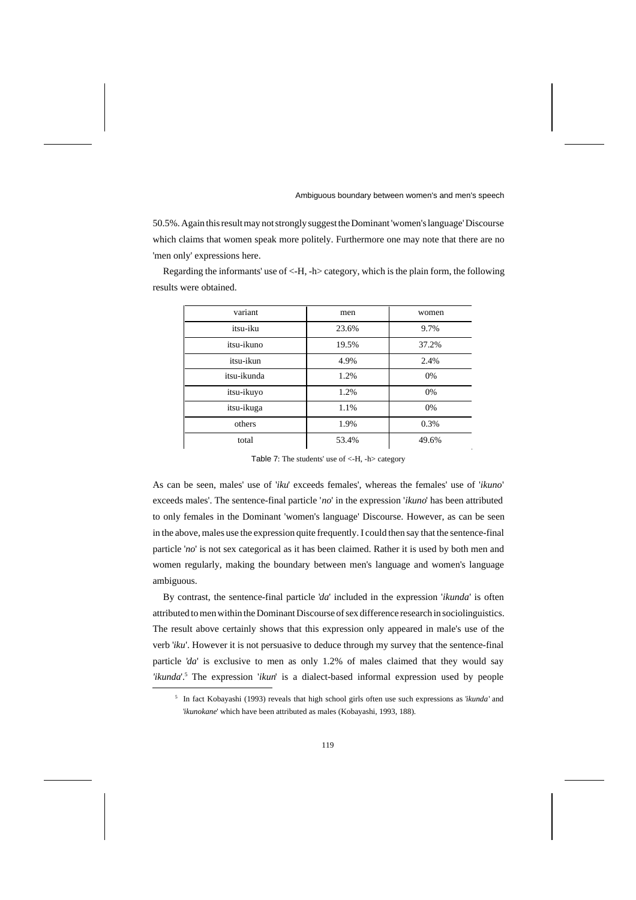50.5%. Again this result may not strongly suggest the Dominant 'women's language' Discourse which claims that women speak more politely. Furthermore one may note that there are no 'men only' expressions here.

Regarding the informants' use of <-H, -h> category, which is the plain form, the following results were obtained.

| variant     | men   | women |
|-------------|-------|-------|
| itsu-iku    | 23.6% | 9.7%  |
| itsu-ikuno  | 19.5% | 37.2% |
| itsu-ikun   | 4.9%  | 2.4%  |
| itsu-ikunda | 1.2%  | 0%    |
| itsu-ikuyo  | 1.2%  | 0%    |
| itsu-ikuga  | 1.1%  | 0%    |
| others      | 1.9%  | 0.3%  |
| total       | 53.4% | 49.6% |

Table 7: The students' use of <-H, -h> category

As can be seen, males' use of '*iku*' exceeds females', whereas the females' use of '*ikuno*' exceeds males'. The sentence-final particle '*no*' in the expression '*ikuno*' has been attributed to only females in the Dominant 'women's language' Discourse. However, as can be seen in the above, males use the expression quite frequently. I could then say that the sentence-final particle '*no*' is not sex categorical as it has been claimed. Rather it is used by both men and women regularly, making the boundary between men's language and women's language ambiguous.

By contrast, the sentence-final particle '*da*' included in the expression '*ikunda*' is often attributed to men within the Dominant Discourse of sex difference research in sociolinguistics. The result above certainly shows that this expression only appeared in male's use of the verb '*iku*'. However it is not persuasive to deduce through my survey that the sentence-final particle '*da*' is exclusive to men as only 1.2% of males claimed that they would say *'ikunda*'.<sup>5</sup> The expression '*ikun*' is a dialect-based informal expression used by people

<sup>5</sup> In fact Kobayashi (1993) reveals that high school girls often use such expressions as '*ikunda*' and '*ikunokane*' which have been attributed as males (Kobayashi, 1993, 188).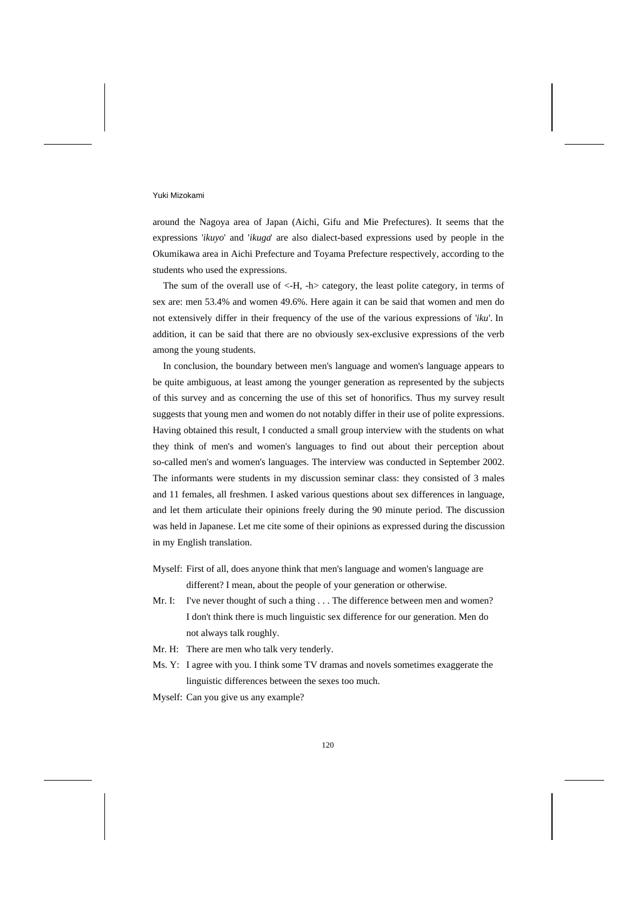around the Nagoya area of Japan (Aichi, Gifu and Mie Prefectures). It seems that the expressions '*ikuyo*' and '*ikuga*' are also dialect-based expressions used by people in the Okumikawa area in Aichi Prefecture and Toyama Prefecture respectively, according to the students who used the expressions.

The sum of the overall use of <-H, -h> category, the least polite category, in terms of sex are: men 53.4% and women 49.6%. Here again it can be said that women and men do not extensively differ in their frequency of the use of the various expressions of '*iku*'. In addition, it can be said that there are no obviously sex-exclusive expressions of the verb among the young students.

In conclusion, the boundary between men's language and women's language appears to be quite ambiguous, at least among the younger generation as represented by the subjects of this survey and as concerning the use of this set of honorifics. Thus my survey result suggests that young men and women do not notably differ in their use of polite expressions. Having obtained this result, I conducted a small group interview with the students on what they think of men's and women's languages to find out about their perception about so-called men's and women's languages. The interview was conducted in September 2002. The informants were students in my discussion seminar class: they consisted of 3 males and 11 females, all freshmen. I asked various questions about sex differences in language, and let them articulate their opinions freely during the 90 minute period. The discussion was held in Japanese. Let me cite some of their opinions as expressed during the discussion in my English translation.

- Myself: First of all, does anyone think that men's language and women's language are different? I mean, about the people of your generation or otherwise.
- Mr. I: I've never thought of such a thing . . . The difference between men and women? I don't think there is much linguistic sex difference for our generation. Men do not always talk roughly.
- Mr. H: There are men who talk very tenderly.
- Ms. Y: I agree with you. I think some TV dramas and novels sometimes exaggerate the linguistic differences between the sexes too much.
- Myself: Can you give us any example?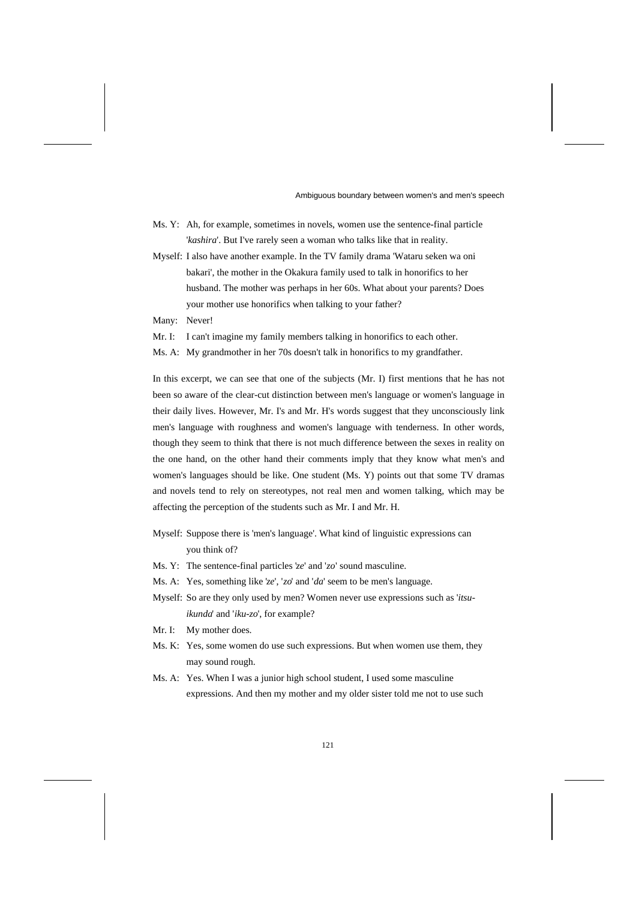- Ms. Y: Ah, for example, sometimes in novels, women use the sentence-final particle '*kashira*'. But I've rarely seen a woman who talks like that in reality.
- Myself: I also have another example. In the TV family drama 'Wataru seken wa oni bakari', the mother in the Okakura family used to talk in honorifics to her husband. The mother was perhaps in her 60s. What about your parents? Does your mother use honorifics when talking to your father?

Many: Never!

- Mr. I: I can't imagine my family members talking in honorifics to each other.
- Ms. A: My grandmother in her 70s doesn't talk in honorifics to my grandfather.

In this excerpt, we can see that one of the subjects (Mr. I) first mentions that he has not been so aware of the clear-cut distinction between men's language or women's language in their daily lives. However, Mr. I's and Mr. H's words suggest that they unconsciously link men's language with roughness and women's language with tenderness. In other words, though they seem to think that there is not much difference between the sexes in reality on the one hand, on the other hand their comments imply that they know what men's and women's languages should be like. One student (Ms. Y) points out that some TV dramas and novels tend to rely on stereotypes, not real men and women talking, which may be affecting the perception of the students such as Mr. I and Mr. H.

- Myself: Suppose there is 'men's language'. What kind of linguistic expressions can you think of?
- Ms. Y: The sentence-final particles '*ze*' and '*zo*' sound masculine.
- Ms. A: Yes, something like '*ze*', '*zo*' and '*da*' seem to be men's language.
- Myself: So are they only used by men? Women never use expressions such as '*itsu ikunda*' and '*iku-zo*', for example?
- Mr. I: My mother does.
- Ms. K: Yes, some women do use such expressions. But when women use them, they may sound rough.
- Ms. A: Yes. When I was a junior high school student, I used some masculine expressions. And then my mother and my older sister told me not to use such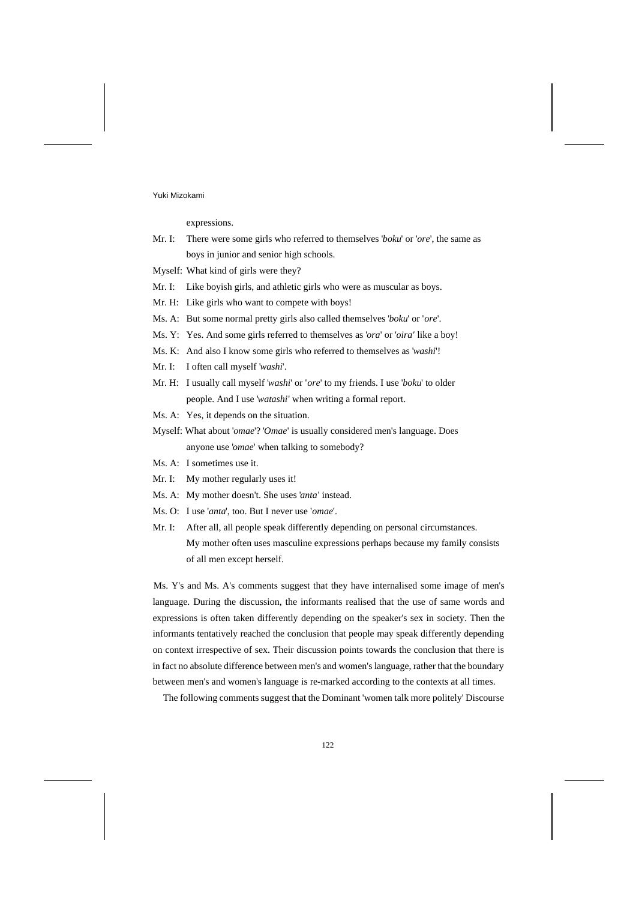expressions.

| Mr. I: There were some girls who referred to themselves 'boku' or 'ore', the same as |
|--------------------------------------------------------------------------------------|
| boys in junior and senior high schools.                                              |

- Myself: What kind of girls were they?
- Mr. I: Like boyish girls, and athletic girls who were as muscular as boys.
- Mr. H: Like girls who want to compete with boys!
- Ms. A: But some normal pretty girls also called themselves '*boku*' or '*ore*'.
- Ms. Y: Yes. And some girls referred to themselves as '*ora*' or '*oira'* like a boy!
- Ms. K: And also I know some girls who referred to themselves as '*washi*'!
- Mr. I: I often call myself '*washi*'.
- Mr. H: I usually call myself '*washi*' or '*ore*' to my friends. I use '*boku*' to older people. And I use '*watashi*' when writing a formal report.
- Ms. A: Yes, it depends on the situation.
- Myself: What about '*omae*'? '*Omae*' is usually considered men's language. Does anyone use '*omae*' when talking to somebody?
- Ms. A: I sometimes use it.
- Mr. I: My mother regularly uses it!
- Ms. A: My mother doesn't. She uses '*anta*' instead.
- Ms. O: I use '*anta*', too. But I never use '*omae*'.
- Mr. I: After all, all people speak differently depending on personal circumstances.

 My mother often uses masculine expressions perhaps because my family consists of all men except herself.

Ms. Y's and Ms. A's comments suggest that they have internalised some image of men's language. During the discussion, the informants realised that the use of same words and expressions is often taken differently depending on the speaker's sex in society. Then the informants tentatively reached the conclusion that people may speak differently depending on context irrespective of sex. Their discussion points towards the conclusion that there is in fact no absolute difference between men's and women's language, rather that the boundary between men's and women's language is re-marked according to the contexts at all times.

The following comments suggest that the Dominant 'women talk more politely' Discourse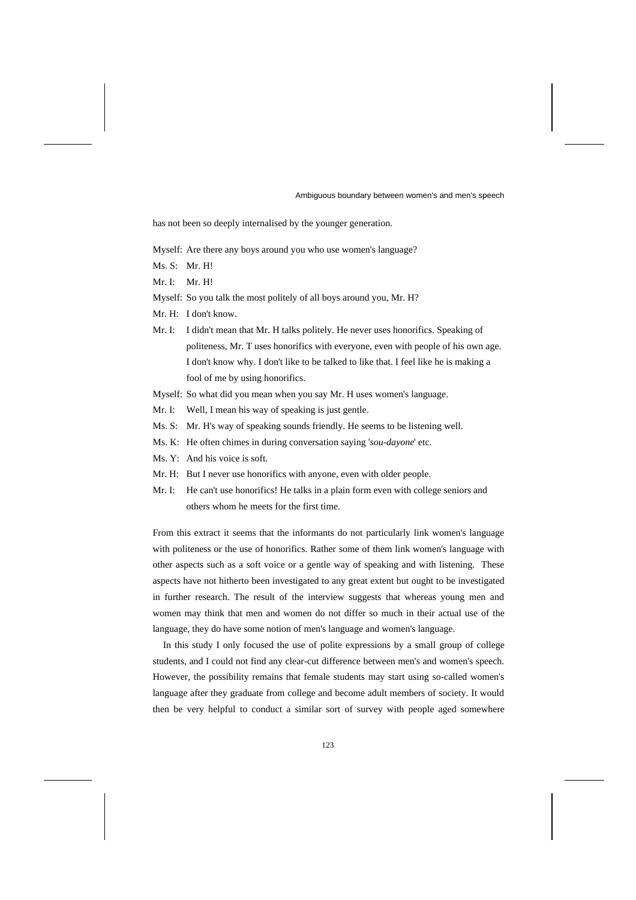has not been so deeply internalised by the younger generation.

Myself: Are there any boys around you who use women's language?

- Ms. S: Mr. H!
- Mr. I: Mr. H!
- Myself: So you talk the most politely of all boys around you, Mr. H?
- Mr. H: I don't know.
- Mr. I: I didn't mean that Mr. H talks politely. He never uses honorifics. Speaking of politeness, Mr. T uses honorifics with everyone, even with people of his own age. I don't know why. I don't like to be talked to like that. I feel like he is making a fool of me by using honorifics.
- Myself: So what did you mean when you say Mr. H uses women's language.
- Mr. I: Well, I mean his way of speaking is just gentle.
- Ms. S: Mr. H's way of speaking sounds friendly. He seems to be listening well.
- Ms. K: He often chimes in during conversation saying '*sou-dayone*' etc.
- Ms. Y: And his voice is soft.
- Mr. H: But I never use honorifics with anyone, even with older people.
- Mr. I: He can't use honorifics! He talks in a plain form even with college seniors and others whom he meets for the first time.

From this extract it seems that the informants do not particularly link women's language with politeness or the use of honorifics. Rather some of them link women's language with other aspects such as a soft voice or a gentle way of speaking and with listening. These aspects have not hitherto been investigated to any great extent but ought to be investigated in further research. The result of the interview suggests that whereas young men and women may think that men and women do not differ so much in their actual use of the language, they do have some notion of men's language and women's language.

In this study I only focused the use of polite expressions by a small group of college students, and I could not find any clear-cut difference between men's and women's speech. However, the possibility remains that female students may start using so-called women's language after they graduate from college and become adult members of society. It would then be very helpful to conduct a similar sort of survey with people aged somewhere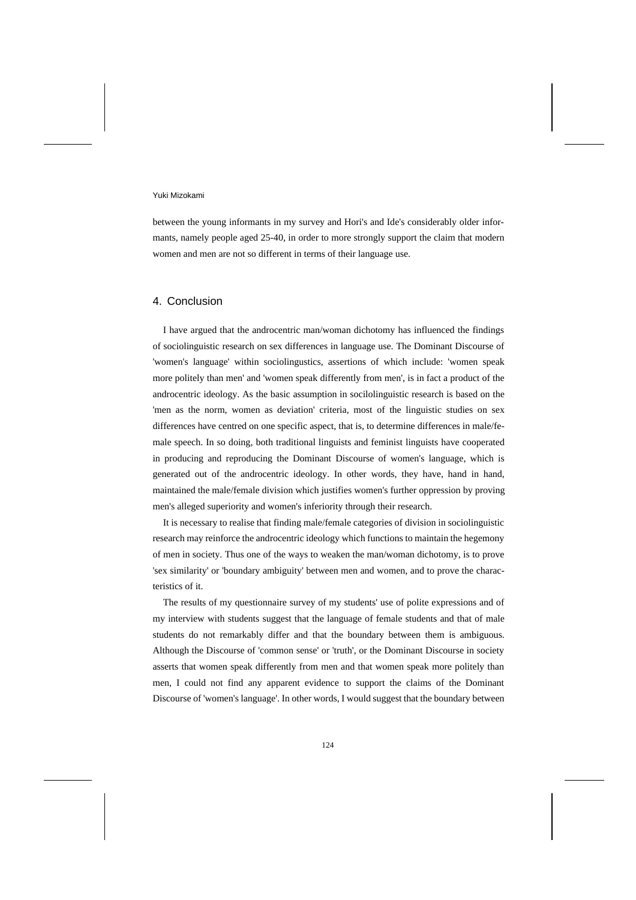between the young informants in my survey and Hori's and Ide's considerably older informants, namely people aged 25-40, in order to more strongly support the claim that modern women and men are not so different in terms of their language use.

## 4. Conclusion

I have argued that the androcentric man/woman dichotomy has influenced the findings of sociolinguistic research on sex differences in language use. The Dominant Discourse of 'women's language' within sociolingustics, assertions of which include: 'women speak more politely than men' and 'women speak differently from men', is in fact a product of the androcentric ideology. As the basic assumption in socilolinguistic research is based on the 'men as the norm, women as deviation' criteria, most of the linguistic studies on sex differences have centred on one specific aspect, that is, to determine differences in male/female speech. In so doing, both traditional linguists and feminist linguists have cooperated in producing and reproducing the Dominant Discourse of women's language, which is generated out of the androcentric ideology. In other words, they have, hand in hand, maintained the male/female division which justifies women's further oppression by proving men's alleged superiority and women's inferiority through their research.

It is necessary to realise that finding male/female categories of division in sociolinguistic research may reinforce the androcentric ideology which functions to maintain the hegemony of men in society. Thus one of the ways to weaken the man/woman dichotomy, is to prove 'sex similarity' or 'boundary ambiguity' between men and women, and to prove the characteristics of it.

The results of my questionnaire survey of my students' use of polite expressions and of my interview with students suggest that the language of female students and that of male students do not remarkably differ and that the boundary between them is ambiguous. Although the Discourse of 'common sense' or 'truth', or the Dominant Discourse in society asserts that women speak differently from men and that women speak more politely than men, I could not find any apparent evidence to support the claims of the Dominant Discourse of 'women's language'. In other words, I would suggest that the boundary between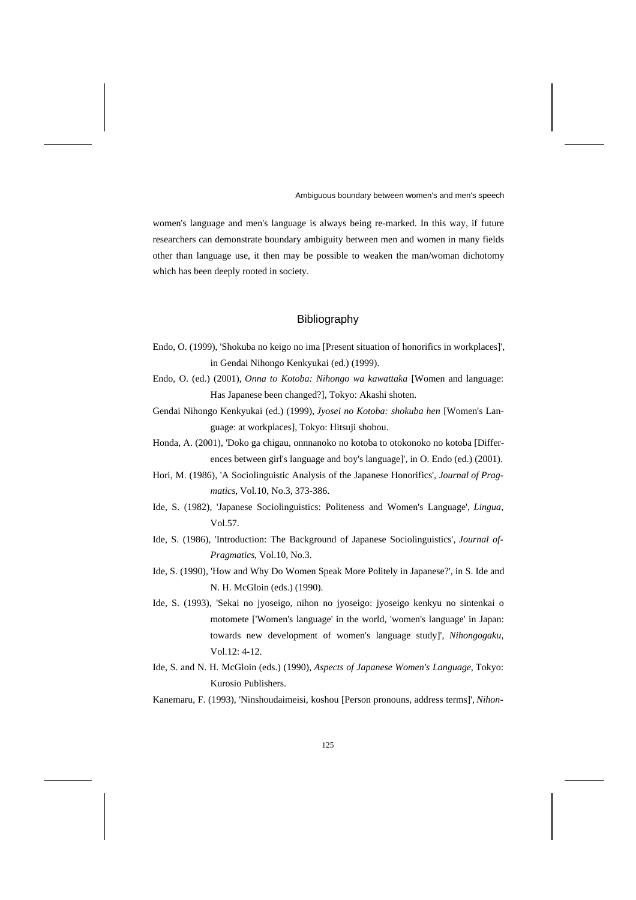women's language and men's language is always being re-marked. In this way, if future researchers can demonstrate boundary ambiguity between men and women in many fields other than language use, it then may be possible to weaken the man/woman dichotomy which has been deeply rooted in society.

## Bibliography

- Endo, O. (1999), 'Shokuba no keigo no ima [Present situation of honorifics in workplaces]', in Gendai Nihongo Kenkyukai (ed.) (1999).
- Endo, O. (ed.) (2001), *Onna to Kotoba: Nihongo wa kawattaka* [Women and language: Has Japanese been changed?], Tokyo: Akashi shoten.
- Gendai Nihongo Kenkyukai (ed.) (1999), *Jyosei no Kotoba: shokuba hen* [Women's Language: at workplaces], Tokyo: Hitsuji shobou.
- Honda, A. (2001), 'Doko ga chigau, onnnanoko no kotoba to otokonoko no kotoba [Differences between girl's language and boy's language]', in O. Endo (ed.) (2001).
- Hori, M. (1986), 'A Sociolinguistic Analysis of the Japanese Honorifics', *Journal of Pragmatics*, Vol.10, No.3, 373-386.
- Ide, S. (1982), 'Japanese Sociolinguistics: Politeness and Women's Language', *Lingua*, Vol.57.
- Ide, S. (1986), 'Introduction: The Background of Japanese Sociolinguistics', *Journal of-Pragmatics*, Vol.10, No.3.
- Ide, S. (1990), 'How and Why Do Women Speak More Politely in Japanese?', in S. Ide and N. H. McGloin (eds.) (1990).
- Ide, S. (1993), 'Sekai no jyoseigo, nihon no jyoseigo: jyoseigo kenkyu no sintenkai o motomete ['Women's language' in the world, 'women's language' in Japan: towards new development of women's language study]', *Nihongogaku*, Vol.12: 4-12.
- Ide, S. and N. H. McGloin (eds.) (1990), *Aspects of Japanese Women's Language*, Tokyo: Kurosio Publishers.
- Kanemaru, F. (1993), 'Ninshoudaimeisi, koshou [Person pronouns, address terms]', *Nihon-*